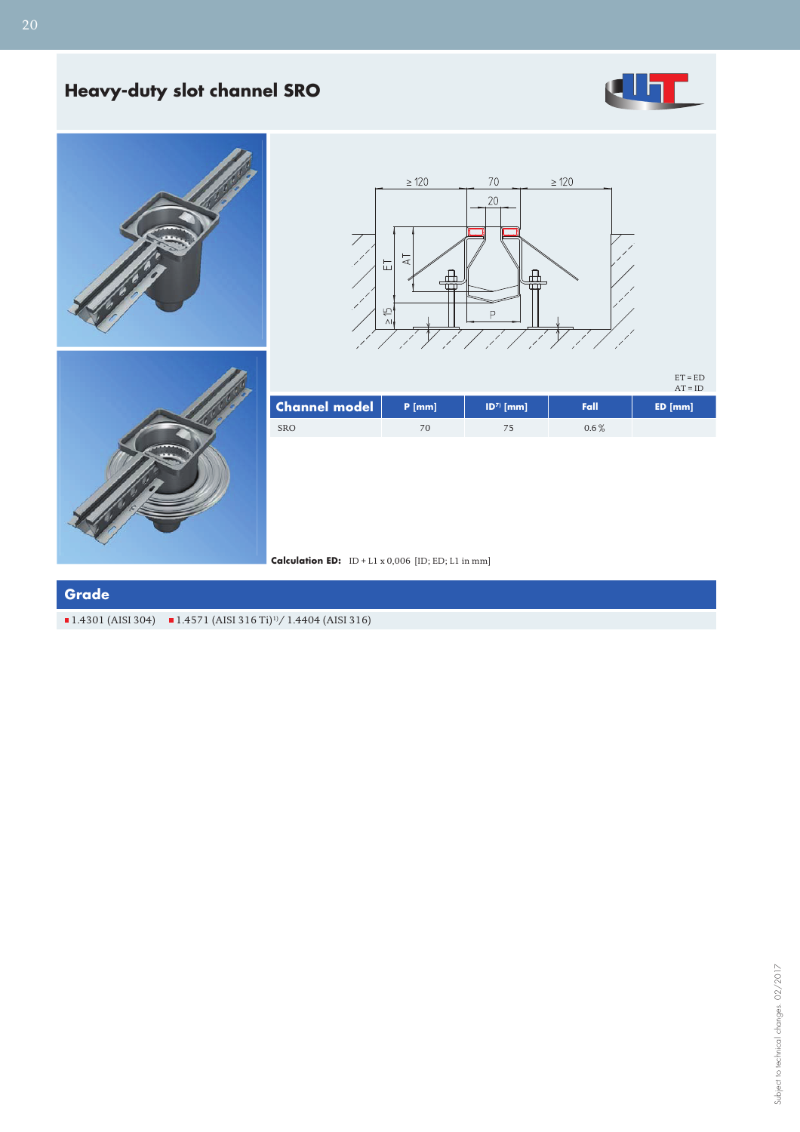## **Heavy-duty slot channel SRO**



 $ET = ED$ 







|                      |          |              |         | $AT = ID$ |
|----------------------|----------|--------------|---------|-----------|
| <b>Channel model</b> | $P$ [mm] | $ D^7 $ [mm] | Fall    | $ED$ [mm] |
| <b>SRO</b>           |          |              | $0.6\%$ |           |



## **Grade**

 $\blacksquare$  1.4301 (AISI 304)  $\blacksquare$  1.4571 (AISI 316 Ti)<sup>1</sup>/ 1.4404 (AISI 316)